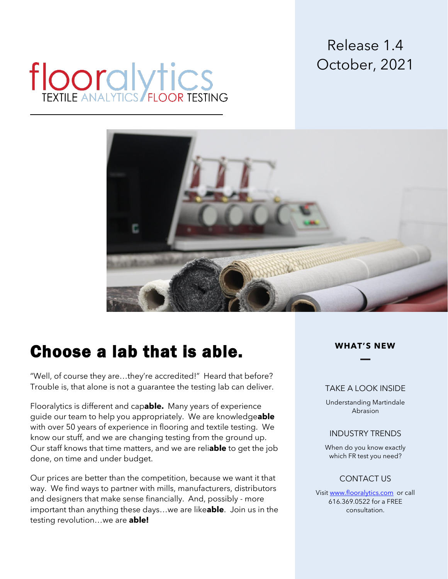## Release 1.4 October, 2021

# **flooralytics**



# Choose a lab that is able.

"Well, of course they are…they're accredited!" Heard that before? Trouble is, that alone is not a guarantee the testing lab can deliver.

Flooralytics is different and cap**able.** Many years of experience guide our team to help you appropriately. We are knowledge**able** with over 50 years of experience in flooring and textile testing. We know our stuff, and we are changing testing from the ground up. Our staff knows that time matters, and we are reli**able** to get the job done, on time and under budget.

Our prices are better than the competition, because we want it that way. We find ways to partner with mills, manufacturers, distributors and designers that make sense financially. And, possibly - more important than anything these days…we are like**able**. Join us in the testing revolution…we are **able!**

## **WHAT'S NEW**

#### TAKE A LOOK INSIDE

Understanding Martindale Abrasion

### INDUSTRY TRENDS

When do you know exactly which FR test you need?

## CONTACT US

Visit [www.flooralytics.com](http://www.flooralytics.com/) or call 616.369.0522 for a FREE consultation.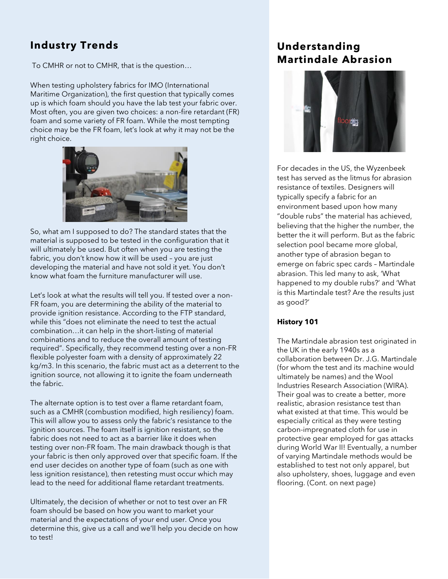## **Industry Trends**

To CMHR or not to CMHR, that is the question…

When testing upholstery fabrics for IMO (International Maritime Organization), the first question that typically comes up is which foam should you have the lab test your fabric over. Most often, you are given two choices: a non-fire retardant (FR) foam and some variety of FR foam. While the most tempting choice may be the FR foam, let's look at why it may not be the right choice.



So, what am I supposed to do? The standard states that the material is supposed to be tested in the configuration that it will ultimately be used. But often when you are testing the fabric, you don't know how it will be used – you are just developing the material and have not sold it yet. You don't know what foam the furniture manufacturer will use.

Let's look at what the results will tell you. If tested over a non-FR foam, you are determining the ability of the material to provide ignition resistance. According to the FTP standard, while this "does not eliminate the need to test the actual combination…it can help in the short-listing of material combinations and to reduce the overall amount of testing required". Specifically, they recommend testing over a non-FR flexible polyester foam with a density of approximately 22 kg/m3. In this scenario, the fabric must act as a deterrent to the ignition source, not allowing it to ignite the foam underneath the fabric.

The alternate option is to test over a flame retardant foam, such as a CMHR (combustion modified, high resiliency) foam. This will allow you to assess only the fabric's resistance to the ignition sources. The foam itself is ignition resistant, so the fabric does not need to act as a barrier like it does when testing over non-FR foam. The main drawback though is that your fabric is then only approved over that specific foam. If the end user decides on another type of foam (such as one with less ignition resistance), then retesting must occur which may lead to the need for additional flame retardant treatments.

Ultimately, the decision of whether or not to test over an FR foam should be based on how you want to market your material and the expectations of your end user. Once you determine this, give us a call and we'll help you decide on how to test!

## **Understanding Martindale Abrasion**



For decades in the US, the Wyzenbeek test has served as the litmus for abrasion resistance of textiles. Designers will typically specify a fabric for an environment based upon how many "double rubs" the material has achieved, believing that the higher the number, the better the it will perform. But as the fabric selection pool became more global, another type of abrasion began to emerge on fabric spec cards – Martindale abrasion. This led many to ask, 'What happened to my double rubs?' and 'What is this Martindale test? Are the results just as good?'

## **History 101**

The Martindale abrasion test originated in the UK in the early 1940s as a collaboration between Dr. J.G. Martindale (for whom the test and its machine would ultimately be names) and the Wool Industries Research Association (WIRA). Their goal was to create a better, more realistic, abrasion resistance test than what existed at that time. This would be especially critical as they were testing carbon-impregnated cloth for use in protective gear employed for gas attacks during World War II! Eventually, a number of varying Martindale methods would be established to test not only apparel, but also upholstery, shoes, luggage and even flooring. (Cont. on next page)